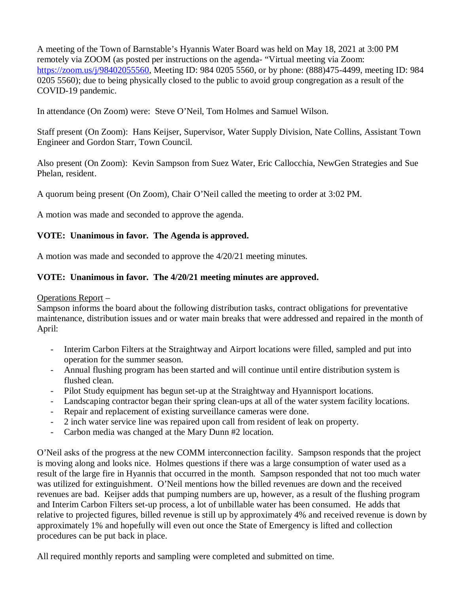A meeting of the Town of Barnstable's Hyannis Water Board was held on May 18, 2021 at 3:00 PM remotely via ZOOM (as posted per instructions on the agenda- "Virtual meeting via Zoom: https://zoom.us/j/98402055560, Meeting ID: 984 0205 5560, or by phone: (888)475-4499, meeting ID: 984 0205 5560); due to being physically closed to the public to avoid group congregation as a result of the COVID-19 pandemic.

In attendance (On Zoom) were: Steve O'Neil, Tom Holmes and Samuel Wilson.

Staff present (On Zoom): Hans Keijser, Supervisor, Water Supply Division, Nate Collins, Assistant Town Engineer and Gordon Starr, Town Council.

Also present (On Zoom): Kevin Sampson from Suez Water, Eric Callocchia, NewGen Strategies and Sue Phelan, resident.

A quorum being present (On Zoom), Chair O'Neil called the meeting to order at 3:02 PM.

A motion was made and seconded to approve the agenda.

## **VOTE: Unanimous in favor. The Agenda is approved.**

A motion was made and seconded to approve the 4/20/21 meeting minutes.

## **VOTE: Unanimous in favor. The 4/20/21 meeting minutes are approved.**

Operations Report –

Sampson informs the board about the following distribution tasks, contract obligations for preventative maintenance, distribution issues and or water main breaks that were addressed and repaired in the month of April:

- Interim Carbon Filters at the Straightway and Airport locations were filled, sampled and put into operation for the summer season.
- Annual flushing program has been started and will continue until entire distribution system is flushed clean.
- Pilot Study equipment has begun set-up at the Straightway and Hyannisport locations.
- Landscaping contractor began their spring clean-ups at all of the water system facility locations.
- Repair and replacement of existing surveillance cameras were done.
- 2 inch water service line was repaired upon call from resident of leak on property.
- Carbon media was changed at the Mary Dunn #2 location.

O'Neil asks of the progress at the new COMM interconnection facility. Sampson responds that the project is moving along and looks nice. Holmes questions if there was a large consumption of water used as a result of the large fire in Hyannis that occurred in the month. Sampson responded that not too much water was utilized for extinguishment. O'Neil mentions how the billed revenues are down and the received revenues are bad. Keijser adds that pumping numbers are up, however, as a result of the flushing program and Interim Carbon Filters set-up process, a lot of unbillable water has been consumed. He adds that relative to projected figures, billed revenue is still up by approximately 4% and received revenue is down by approximately 1% and hopefully will even out once the State of Emergency is lifted and collection procedures can be put back in place.

All required monthly reports and sampling were completed and submitted on time.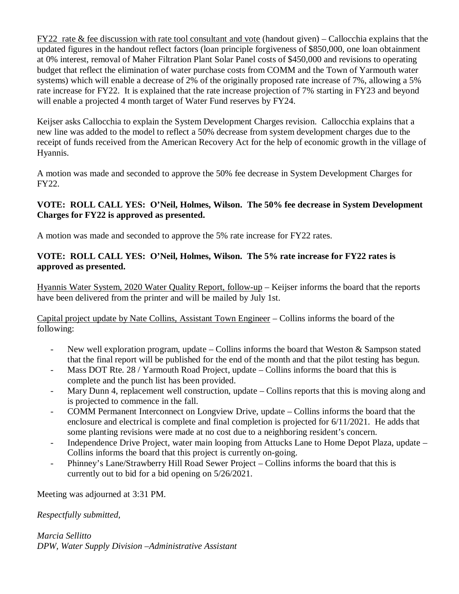FY22 rate & fee discussion with rate tool consultant and vote (handout given) – Callocchia explains that the updated figures in the handout reflect factors (loan principle forgiveness of \$850,000, one loan obtainment at 0% interest, removal of Maher Filtration Plant Solar Panel costs of \$450,000 and revisions to operating budget that reflect the elimination of water purchase costs from COMM and the Town of Yarmouth water systems) which will enable a decrease of 2% of the originally proposed rate increase of 7%, allowing a 5% rate increase for FY22. It is explained that the rate increase projection of 7% starting in FY23 and beyond will enable a projected 4 month target of Water Fund reserves by FY24.

Keijser asks Callocchia to explain the System Development Charges revision. Callocchia explains that a new line was added to the model to reflect a 50% decrease from system development charges due to the receipt of funds received from the American Recovery Act for the help of economic growth in the village of Hyannis.

A motion was made and seconded to approve the 50% fee decrease in System Development Charges for FY22.

## **VOTE: ROLL CALL YES: O'Neil, Holmes, Wilson. The 50% fee decrease in System Development Charges for FY22 is approved as presented.**

A motion was made and seconded to approve the 5% rate increase for FY22 rates.

## **VOTE: ROLL CALL YES: O'Neil, Holmes, Wilson. The 5% rate increase for FY22 rates is approved as presented.**

Hyannis Water System, 2020 Water Quality Report, follow-up – Keijser informs the board that the reports have been delivered from the printer and will be mailed by July 1st.

Capital project update by Nate Collins, Assistant Town Engineer – Collins informs the board of the following:

- New well exploration program, update Collins informs the board that Weston & Sampson stated that the final report will be published for the end of the month and that the pilot testing has begun.
- Mass DOT Rte. 28 / Yarmouth Road Project, update Collins informs the board that this is complete and the punch list has been provided.
- Mary Dunn 4, replacement well construction, update Collins reports that this is moving along and is projected to commence in the fall.
- COMM Permanent Interconnect on Longview Drive, update Collins informs the board that the enclosure and electrical is complete and final completion is projected for 6/11/2021. He adds that some planting revisions were made at no cost due to a neighboring resident's concern.
- Independence Drive Project, water main looping from Attucks Lane to Home Depot Plaza, update Collins informs the board that this project is currently on-going.
- Phinney's Lane/Strawberry Hill Road Sewer Project Collins informs the board that this is currently out to bid for a bid opening on 5/26/2021.

Meeting was adjourned at 3:31 PM.

*Respectfully submitted,*

*Marcia Sellitto DPW, Water Supply Division –Administrative Assistant*